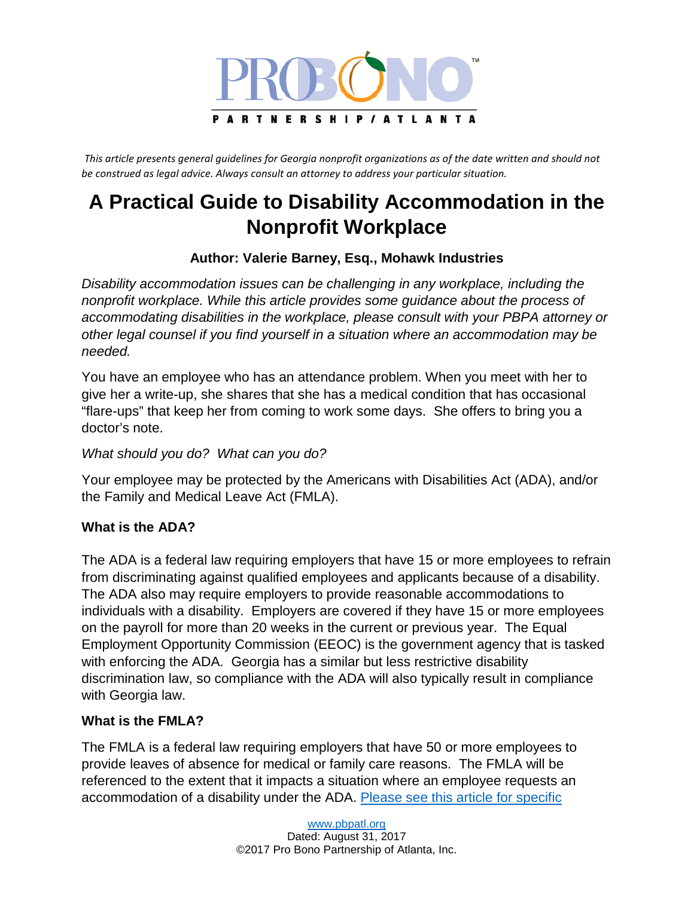

*This article presents general guidelines for Georgia nonprofit organizations as of the date written and should not be construed as legal advice. Always consult an attorney to address your particular situation.*

# **A Practical Guide to Disability Accommodation in the Nonprofit Workplace**

## **Author: Valerie Barney, Esq., Mohawk Industries**

*Disability accommodation issues can be challenging in any workplace, including the nonprofit workplace. While this article provides some guidance about the process of accommodating disabilities in the workplace, please consult with your PBPA attorney or other legal counsel if you find yourself in a situation where an accommodation may be needed.*

You have an employee who has an attendance problem. When you meet with her to give her a write-up, she shares that she has a medical condition that has occasional "flare-ups" that keep her from coming to work some days. She offers to bring you a doctor's note.

## *What should you do? What can you do?*

Your employee may be protected by the Americans with Disabilities Act (ADA), and/or the Family and Medical Leave Act (FMLA).

## **What is the ADA?**

The ADA is a federal law requiring employers that have 15 or more employees to refrain from discriminating against qualified employees and applicants because of a disability. The ADA also may require employers to provide reasonable accommodations to individuals with a disability. Employers are covered if they have 15 or more employees on the payroll for more than 20 weeks in the current or previous year. The Equal Employment Opportunity Commission (EEOC) is the government agency that is tasked with enforcing the ADA. Georgia has a similar but less restrictive disability discrimination law, so compliance with the ADA will also typically result in compliance with Georgia law.

#### **What is the FMLA?**

The FMLA is a federal law requiring employers that have 50 or more employees to provide leaves of absence for medical or family care reasons. The FMLA will be referenced to the extent that it impacts a situation where an employee requests an accommodation of a disability under the ADA. [Please see this article for specific](https://www.pbpatl.org/resources/employment-discrimination-laws/)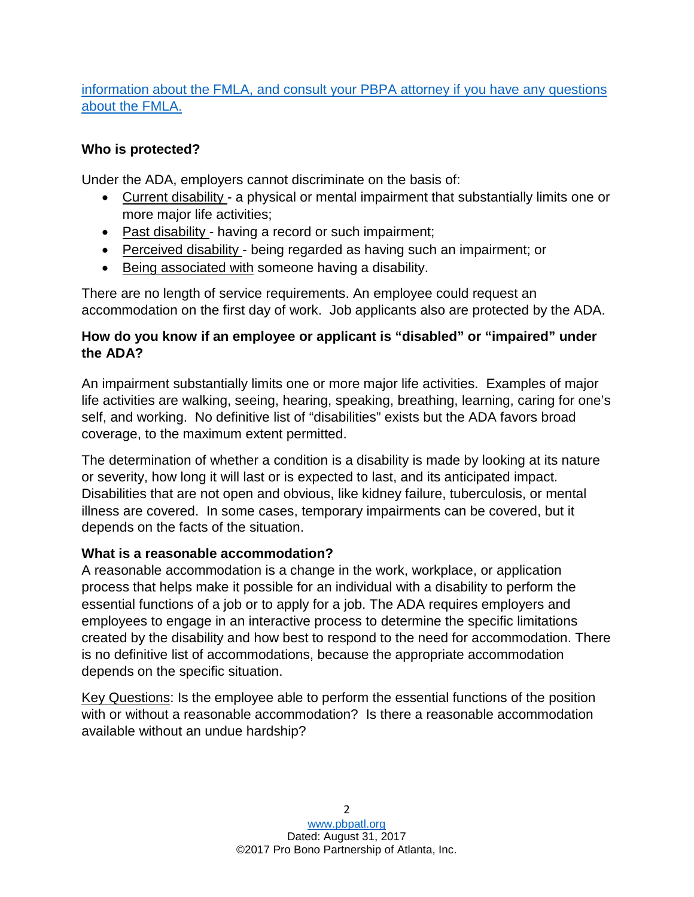[information about the FMLA, and consult your PBPA attorney if you have any questions](https://www.pbpatl.org/resources/employment-discrimination-laws/)  [about the FMLA.](https://www.pbpatl.org/resources/employment-discrimination-laws/)

# **Who is protected?**

Under the ADA, employers cannot discriminate on the basis of:

- Current disability a physical or mental impairment that substantially limits one or more major life activities;
- Past disability having a record or such impairment;
- Perceived disability being regarded as having such an impairment; or
- Being associated with someone having a disability.

There are no length of service requirements. An employee could request an accommodation on the first day of work. Job applicants also are protected by the ADA.

# **How do you know if an employee or applicant is "disabled" or "impaired" under the ADA?**

An impairment substantially limits one or more major life activities. Examples of major life activities are walking, seeing, hearing, speaking, breathing, learning, caring for one's self, and working. No definitive list of "disabilities" exists but the ADA favors broad coverage, to the maximum extent permitted.

The determination of whether a condition is a disability is made by looking at its nature or severity, how long it will last or is expected to last, and its anticipated impact. Disabilities that are not open and obvious, like kidney failure, tuberculosis, or mental illness are covered. In some cases, temporary impairments can be covered, but it depends on the facts of the situation.

# **What is a reasonable accommodation?**

A reasonable accommodation is a change in the work, workplace, or application process that helps make it possible for an individual with a disability to perform the essential functions of a job or to apply for a job. The ADA requires employers and employees to engage in an interactive process to determine the specific limitations created by the disability and how best to respond to the need for accommodation. There is no definitive list of accommodations, because the appropriate accommodation depends on the specific situation.

Key Questions: Is the employee able to perform the essential functions of the position with or without a reasonable accommodation? Is there a reasonable accommodation available without an undue hardship?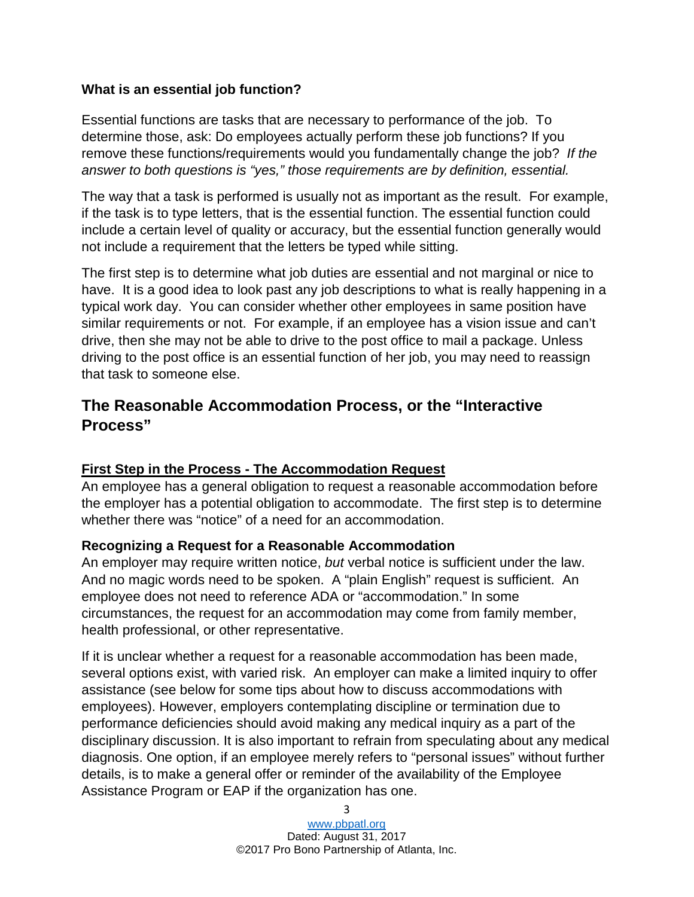#### **What is an essential job function?**

Essential functions are tasks that are necessary to performance of the job. To determine those, ask: Do employees actually perform these job functions? If you remove these functions/requirements would you fundamentally change the job? *If the answer to both questions is "yes," those requirements are by definition, essential.*

The way that a task is performed is usually not as important as the result. For example, if the task is to type letters, that is the essential function. The essential function could include a certain level of quality or accuracy, but the essential function generally would not include a requirement that the letters be typed while sitting.

The first step is to determine what job duties are essential and not marginal or nice to have. It is a good idea to look past any job descriptions to what is really happening in a typical work day. You can consider whether other employees in same position have similar requirements or not. For example, if an employee has a vision issue and can't drive, then she may not be able to drive to the post office to mail a package. Unless driving to the post office is an essential function of her job, you may need to reassign that task to someone else.

# **The Reasonable Accommodation Process, or the "Interactive Process"**

## **First Step in the Process - The Accommodation Request**

An employee has a general obligation to request a reasonable accommodation before the employer has a potential obligation to accommodate. The first step is to determine whether there was "notice" of a need for an accommodation.

## **Recognizing a Request for a Reasonable Accommodation**

An employer may require written notice, *but* verbal notice is sufficient under the law. And no magic words need to be spoken. A "plain English" request is sufficient. An employee does not need to reference ADA or "accommodation." In some circumstances, the request for an accommodation may come from family member, health professional, or other representative.

If it is unclear whether a request for a reasonable accommodation has been made, several options exist, with varied risk. An employer can make a limited inquiry to offer assistance (see below for some tips about how to discuss accommodations with employees). However, employers contemplating discipline or termination due to performance deficiencies should avoid making any medical inquiry as a part of the disciplinary discussion. It is also important to refrain from speculating about any medical diagnosis. One option, if an employee merely refers to "personal issues" without further details, is to make a general offer or reminder of the availability of the Employee Assistance Program or EAP if the organization has one.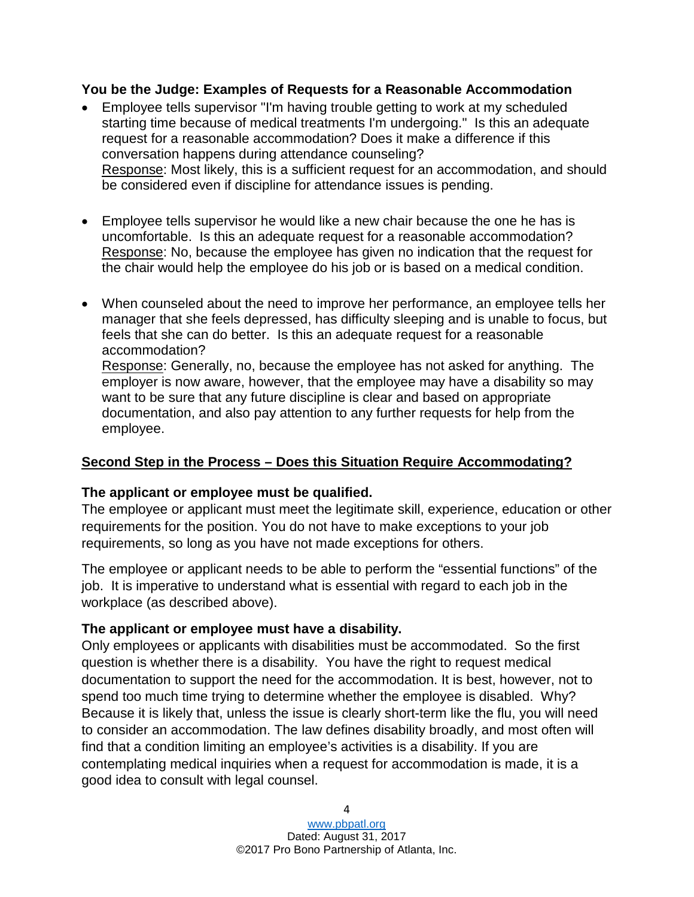#### **You be the Judge: Examples of Requests for a Reasonable Accommodation**

- Employee tells supervisor "I'm having trouble getting to work at my scheduled starting time because of medical treatments I'm undergoing." Is this an adequate request for a reasonable accommodation? Does it make a difference if this conversation happens during attendance counseling? Response: Most likely, this is a sufficient request for an accommodation, and should be considered even if discipline for attendance issues is pending.
- Employee tells supervisor he would like a new chair because the one he has is uncomfortable. Is this an adequate request for a reasonable accommodation? Response: No, because the employee has given no indication that the request for the chair would help the employee do his job or is based on a medical condition.
- When counseled about the need to improve her performance, an employee tells her manager that she feels depressed, has difficulty sleeping and is unable to focus, but feels that she can do better. Is this an adequate request for a reasonable accommodation? Response: Generally, no, because the employee has not asked for anything. The employer is now aware, however, that the employee may have a disability so may want to be sure that any future discipline is clear and based on appropriate documentation, and also pay attention to any further requests for help from the employee.

## **Second Step in the Process – Does this Situation Require Accommodating?**

#### **The applicant or employee must be qualified.**

The employee or applicant must meet the legitimate skill, experience, education or other requirements for the position. You do not have to make exceptions to your job requirements, so long as you have not made exceptions for others.

The employee or applicant needs to be able to perform the "essential functions" of the job. It is imperative to understand what is essential with regard to each job in the workplace (as described above).

#### **The applicant or employee must have a disability.**

Only employees or applicants with disabilities must be accommodated. So the first question is whether there is a disability. You have the right to request medical documentation to support the need for the accommodation. It is best, however, not to spend too much time trying to determine whether the employee is disabled. Why? Because it is likely that, unless the issue is clearly short-term like the flu, you will need to consider an accommodation. The law defines disability broadly, and most often will find that a condition limiting an employee's activities is a disability. If you are contemplating medical inquiries when a request for accommodation is made, it is a good idea to consult with legal counsel.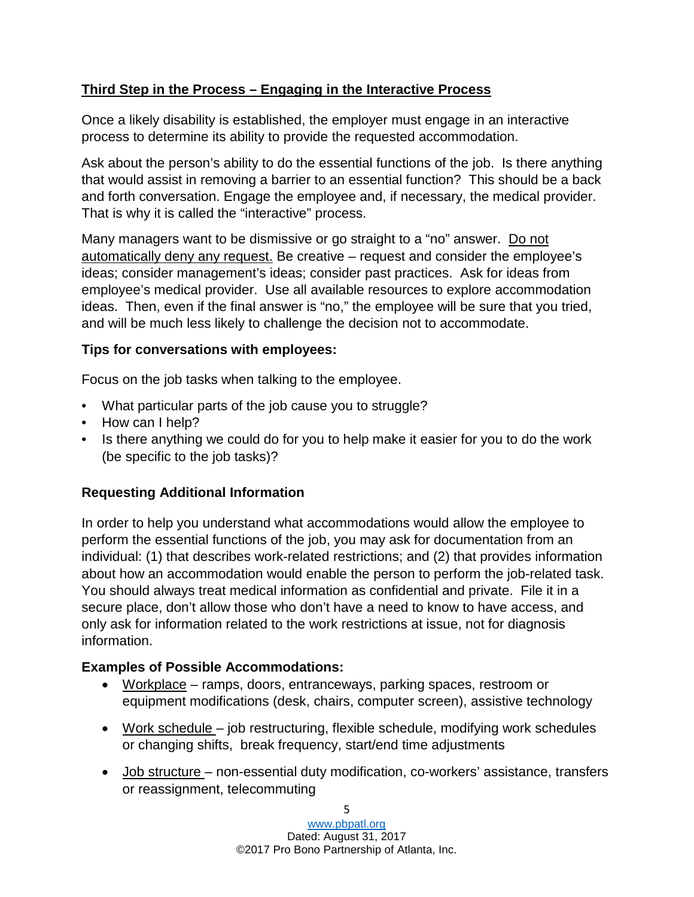# **Third Step in the Process – Engaging in the Interactive Process**

Once a likely disability is established, the employer must engage in an interactive process to determine its ability to provide the requested accommodation.

Ask about the person's ability to do the essential functions of the job. Is there anything that would assist in removing a barrier to an essential function? This should be a back and forth conversation. Engage the employee and, if necessary, the medical provider. That is why it is called the "interactive" process.

Many managers want to be dismissive or go straight to a "no" answer. Do not automatically deny any request. Be creative – request and consider the employee's ideas; consider management's ideas; consider past practices. Ask for ideas from employee's medical provider. Use all available resources to explore accommodation ideas. Then, even if the final answer is "no," the employee will be sure that you tried, and will be much less likely to challenge the decision not to accommodate.

## **Tips for conversations with employees:**

Focus on the job tasks when talking to the employee.

- What particular parts of the job cause you to struggle?
- How can I help?
- Is there anything we could do for you to help make it easier for you to do the work (be specific to the job tasks)?

## **Requesting Additional Information**

In order to help you understand what accommodations would allow the employee to perform the essential functions of the job, you may ask for documentation from an individual: (1) that describes work-related restrictions; and (2) that provides information about how an accommodation would enable the person to perform the job-related task. You should always treat medical information as confidential and private. File it in a secure place, don't allow those who don't have a need to know to have access, and only ask for information related to the work restrictions at issue, not for diagnosis information.

## **Examples of Possible Accommodations:**

- Workplace ramps, doors, entranceways, parking spaces, restroom or equipment modifications (desk, chairs, computer screen), assistive technology
- Work schedule job restructuring, flexible schedule, modifying work schedules or changing shifts, break frequency, start/end time adjustments
- Job structure non-essential duty modification, co-workers' assistance, transfers or reassignment, telecommuting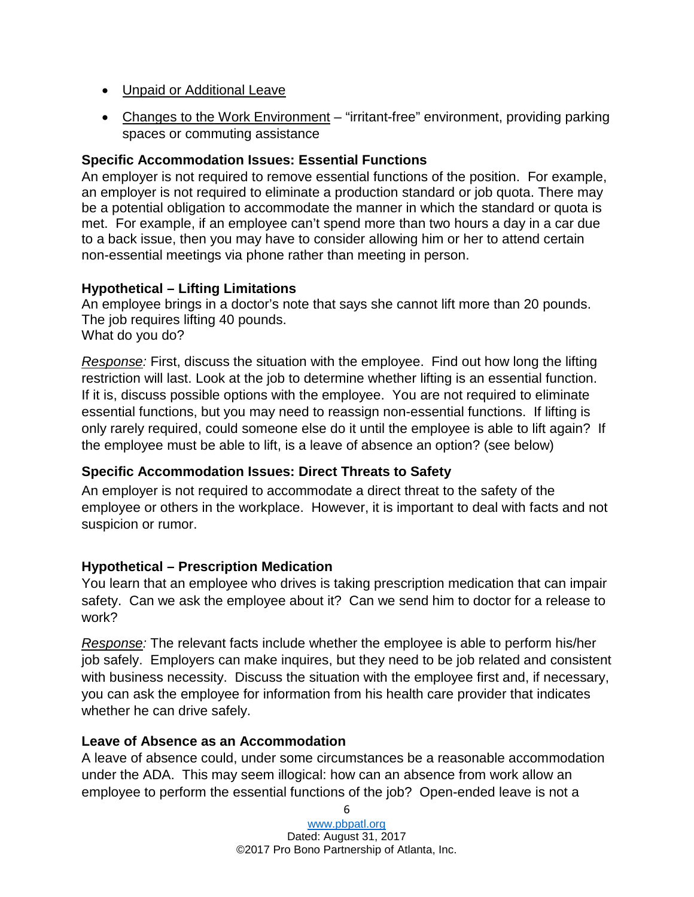- Unpaid or Additional Leave
- Changes to the Work Environment "irritant-free" environment, providing parking spaces or commuting assistance

#### **Specific Accommodation Issues: Essential Functions**

An employer is not required to remove essential functions of the position. For example, an employer is not required to eliminate a production standard or job quota. There may be a potential obligation to accommodate the manner in which the standard or quota is met. For example, if an employee can't spend more than two hours a day in a car due to a back issue, then you may have to consider allowing him or her to attend certain non-essential meetings via phone rather than meeting in person.

#### **Hypothetical – Lifting Limitations**

An employee brings in a doctor's note that says she cannot lift more than 20 pounds. The job requires lifting 40 pounds. What do you do?

*Response:* First, discuss the situation with the employee. Find out how long the lifting restriction will last. Look at the job to determine whether lifting is an essential function. If it is, discuss possible options with the employee. You are not required to eliminate essential functions, but you may need to reassign non-essential functions. If lifting is only rarely required, could someone else do it until the employee is able to lift again? If the employee must be able to lift, is a leave of absence an option? (see below)

## **Specific Accommodation Issues: Direct Threats to Safety**

An employer is not required to accommodate a direct threat to the safety of the employee or others in the workplace. However, it is important to deal with facts and not suspicion or rumor.

## **Hypothetical – Prescription Medication**

You learn that an employee who drives is taking prescription medication that can impair safety. Can we ask the employee about it? Can we send him to doctor for a release to work?

*Response:* The relevant facts include whether the employee is able to perform his/her job safely. Employers can make inquires, but they need to be job related and consistent with business necessity. Discuss the situation with the employee first and, if necessary, you can ask the employee for information from his health care provider that indicates whether he can drive safely.

#### **Leave of Absence as an Accommodation**

A leave of absence could, under some circumstances be a reasonable accommodation under the ADA. This may seem illogical: how can an absence from work allow an employee to perform the essential functions of the job? Open-ended leave is not a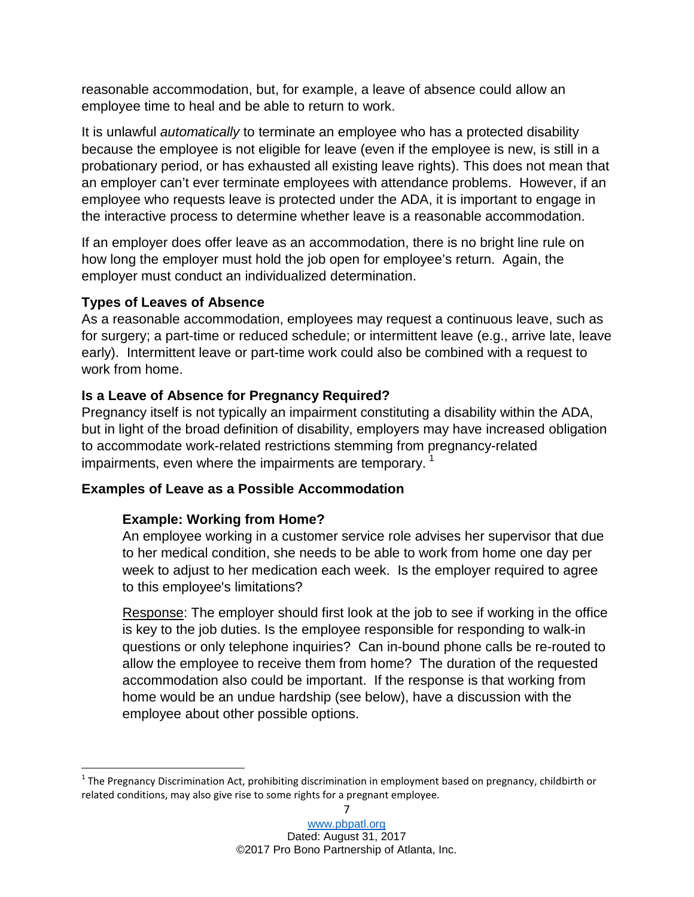reasonable accommodation, but, for example, a leave of absence could allow an employee time to heal and be able to return to work.

It is unlawful *automatically* to terminate an employee who has a protected disability because the employee is not eligible for leave (even if the employee is new, is still in a probationary period, or has exhausted all existing leave rights). This does not mean that an employer can't ever terminate employees with attendance problems. However, if an employee who requests leave is protected under the ADA, it is important to engage in the interactive process to determine whether leave is a reasonable accommodation.

If an employer does offer leave as an accommodation, there is no bright line rule on how long the employer must hold the job open for employee's return. Again, the employer must conduct an individualized determination.

#### **Types of Leaves of Absence**

As a reasonable accommodation, employees may request a continuous leave, such as for surgery; a part-time or reduced schedule; or intermittent leave (e.g., arrive late, leave early). Intermittent leave or part-time work could also be combined with a request to work from home.

## **Is a Leave of Absence for Pregnancy Required?**

Pregnancy itself is not typically an impairment constituting a disability within the ADA, but in light of the broad definition of disability, employers may have increased obligation to accommodate work-related restrictions stemming from pregnancy-related impairments, even where the impairments are temporary.

#### **Examples of Leave as a Possible Accommodation**

#### **Example: Working from Home?**

An employee working in a customer service role advises her supervisor that due to her medical condition, she needs to be able to work from home one day per week to adjust to her medication each week. Is the employer required to agree to this employee's limitations?

Response: The employer should first look at the job to see if working in the office is key to the job duties. Is the employee responsible for responding to walk-in questions or only telephone inquiries? Can in-bound phone calls be re-routed to allow the employee to receive them from home? The duration of the requested accommodation also could be important. If the response is that working from home would be an undue hardship (see below), have a discussion with the employee about other possible options.

<span id="page-6-0"></span> $1$  The Pregnancy Discrimination Act, prohibiting discrimination in employment based on pregnancy, childbirth or related conditions, may also give rise to some rights for a pregnant employee.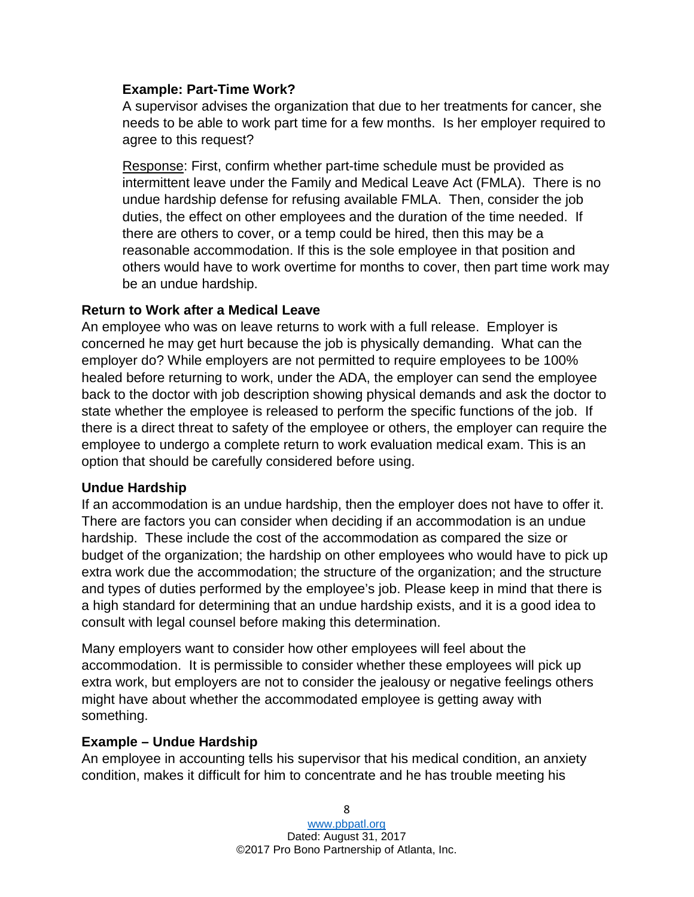#### **Example: Part-Time Work?**

A supervisor advises the organization that due to her treatments for cancer, she needs to be able to work part time for a few months. Is her employer required to agree to this request?

Response: First, confirm whether part-time schedule must be provided as intermittent leave under the Family and Medical Leave Act (FMLA). There is no undue hardship defense for refusing available FMLA. Then, consider the job duties, the effect on other employees and the duration of the time needed. If there are others to cover, or a temp could be hired, then this may be a reasonable accommodation. If this is the sole employee in that position and others would have to work overtime for months to cover, then part time work may be an undue hardship.

#### **Return to Work after a Medical Leave**

An employee who was on leave returns to work with a full release. Employer is concerned he may get hurt because the job is physically demanding. What can the employer do? While employers are not permitted to require employees to be 100% healed before returning to work, under the ADA, the employer can send the employee back to the doctor with job description showing physical demands and ask the doctor to state whether the employee is released to perform the specific functions of the job. If there is a direct threat to safety of the employee or others, the employer can require the employee to undergo a complete return to work evaluation medical exam. This is an option that should be carefully considered before using.

## **Undue Hardship**

If an accommodation is an undue hardship, then the employer does not have to offer it. There are factors you can consider when deciding if an accommodation is an undue hardship. These include the cost of the accommodation as compared the size or budget of the organization; the hardship on other employees who would have to pick up extra work due the accommodation; the structure of the organization; and the structure and types of duties performed by the employee's job. Please keep in mind that there is a high standard for determining that an undue hardship exists, and it is a good idea to consult with legal counsel before making this determination.

Many employers want to consider how other employees will feel about the accommodation. It is permissible to consider whether these employees will pick up extra work, but employers are not to consider the jealousy or negative feelings others might have about whether the accommodated employee is getting away with something.

#### **Example – Undue Hardship**

An employee in accounting tells his supervisor that his medical condition, an anxiety condition, makes it difficult for him to concentrate and he has trouble meeting his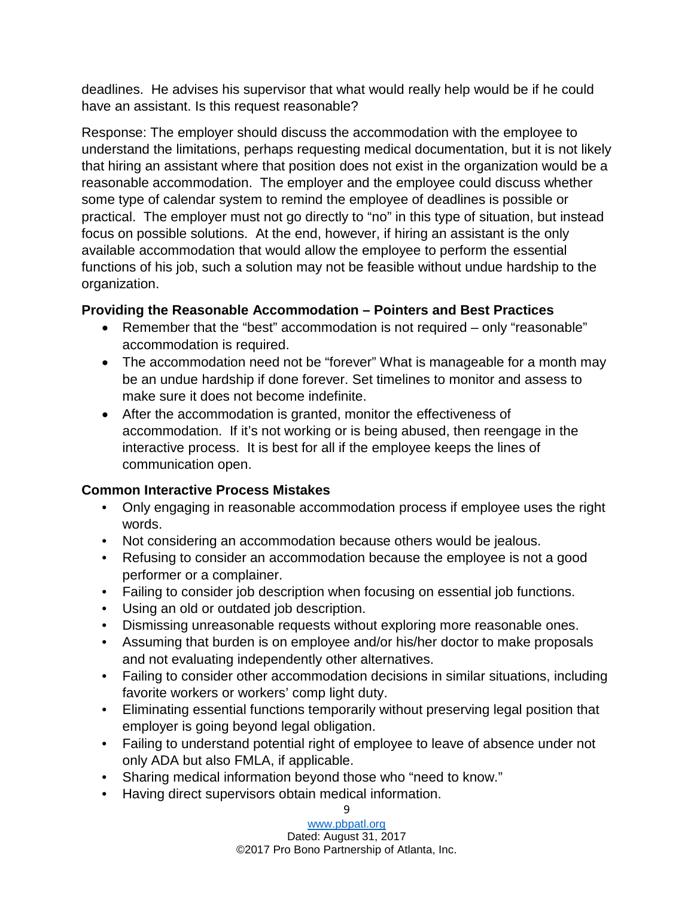deadlines. He advises his supervisor that what would really help would be if he could have an assistant. Is this request reasonable?

Response: The employer should discuss the accommodation with the employee to understand the limitations, perhaps requesting medical documentation, but it is not likely that hiring an assistant where that position does not exist in the organization would be a reasonable accommodation. The employer and the employee could discuss whether some type of calendar system to remind the employee of deadlines is possible or practical. The employer must not go directly to "no" in this type of situation, but instead focus on possible solutions. At the end, however, if hiring an assistant is the only available accommodation that would allow the employee to perform the essential functions of his job, such a solution may not be feasible without undue hardship to the organization.

## **Providing the Reasonable Accommodation – Pointers and Best Practices**

- Remember that the "best" accommodation is not required only "reasonable" accommodation is required.
- The accommodation need not be "forever" What is manageable for a month may be an undue hardship if done forever. Set timelines to monitor and assess to make sure it does not become indefinite.
- After the accommodation is granted, monitor the effectiveness of accommodation. If it's not working or is being abused, then reengage in the interactive process. It is best for all if the employee keeps the lines of communication open.

## **Common Interactive Process Mistakes**

- Only engaging in reasonable accommodation process if employee uses the right words.
- Not considering an accommodation because others would be jealous.
- Refusing to consider an accommodation because the employee is not a good performer or a complainer.
- Failing to consider job description when focusing on essential job functions.
- Using an old or outdated job description.
- Dismissing unreasonable requests without exploring more reasonable ones.
- Assuming that burden is on employee and/or his/her doctor to make proposals and not evaluating independently other alternatives.
- Failing to consider other accommodation decisions in similar situations, including favorite workers or workers' comp light duty.
- Eliminating essential functions temporarily without preserving legal position that employer is going beyond legal obligation.
- Failing to understand potential right of employee to leave of absence under not only ADA but also FMLA, if applicable.
- Sharing medical information beyond those who "need to know."
- Having direct supervisors obtain medical information.